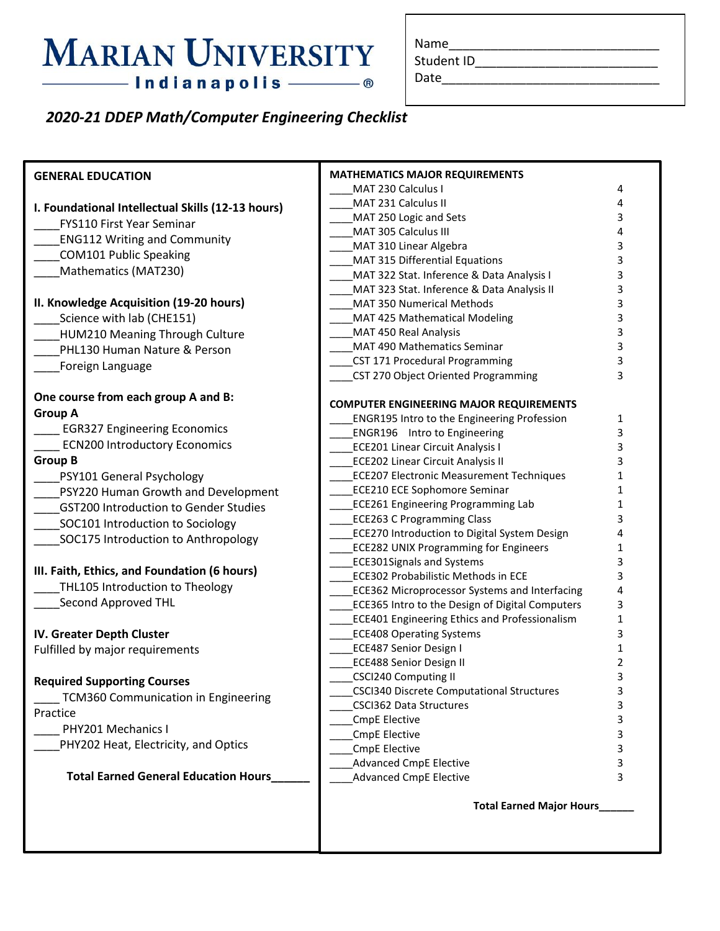## **MARIAN UNIVERSITY** - Indianapolis - ®

Student ID\_\_\_\_\_\_\_\_\_\_\_\_\_\_\_\_\_\_\_\_\_\_\_\_\_\_

Date\_\_\_\_\_\_\_\_\_\_\_\_\_\_\_\_\_\_\_\_\_\_\_\_\_\_\_\_\_\_\_

### *2020-21 DDEP Math/Computer Engineering Checklist*

| <b>GENERAL EDUCATION</b>                          | <b>MATHEMATICS MAJOR REQUIREMENTS</b>                                                     |        |  |
|---------------------------------------------------|-------------------------------------------------------------------------------------------|--------|--|
|                                                   | MAT 230 Calculus I                                                                        | 4      |  |
| I. Foundational Intellectual Skills (12-13 hours) | MAT 231 Calculus II                                                                       | 4      |  |
| <b>FYS110 First Year Seminar</b>                  | MAT 250 Logic and Sets                                                                    | 3      |  |
| <b>ENG112 Writing and Community</b>               | MAT 305 Calculus III                                                                      | 4      |  |
| <b>COM101 Public Speaking</b>                     | MAT 310 Linear Algebra<br>MAT 315 Differential Equations                                  | 3<br>3 |  |
| Mathematics (MAT230)                              | MAT 322 Stat. Inference & Data Analysis I                                                 | 3      |  |
|                                                   | MAT 323 Stat. Inference & Data Analysis II                                                | 3      |  |
| II. Knowledge Acquisition (19-20 hours)           | MAT 350 Numerical Methods                                                                 | 3      |  |
| Science with lab (CHE151)                         | MAT 425 Mathematical Modeling                                                             | 3      |  |
| HUM210 Meaning Through Culture                    | MAT 450 Real Analysis                                                                     | 3      |  |
| PHL130 Human Nature & Person                      | MAT 490 Mathematics Seminar                                                               | 3      |  |
| Foreign Language                                  | CST 171 Procedural Programming                                                            |        |  |
|                                                   | CST 270 Object Oriented Programming                                                       | 3      |  |
| One course from each group A and B:               |                                                                                           |        |  |
| <b>Group A</b>                                    | <b>COMPUTER ENGINEERING MAJOR REQUIREMENTS</b>                                            |        |  |
| <b>EGR327 Engineering Economics</b>               | <b>ENGR195 Intro to the Engineering Profession</b><br><b>ENGR196</b> Intro to Engineering | 1<br>3 |  |
| <b>ECN200 Introductory Economics</b>              | <b>ECE201 Linear Circuit Analysis I</b>                                                   | 3      |  |
| <b>Group B</b>                                    | <b>ECE202 Linear Circuit Analysis II</b>                                                  | 3      |  |
| PSY101 General Psychology                         | <b>ECE207 Electronic Measurement Techniques</b>                                           | 1      |  |
| PSY220 Human Growth and Development               | <b>ECE210 ECE Sophomore Seminar</b>                                                       | 1      |  |
| <b>GST200 Introduction to Gender Studies</b>      | <b>ECE261 Engineering Programming Lab</b>                                                 | 1      |  |
| SOC101 Introduction to Sociology                  | <b>ECE263 C Programming Class</b>                                                         | 3      |  |
| SOC175 Introduction to Anthropology               | <b>ECE270 Introduction to Digital System Design</b>                                       | 4      |  |
|                                                   | <b>ECE282 UNIX Programming for Engineers</b>                                              | 1      |  |
|                                                   | <b>ECE301Signals and Systems</b>                                                          | 3      |  |
| III. Faith, Ethics, and Foundation (6 hours)      | <b>ECE302 Probabilistic Methods in ECE</b>                                                | 3      |  |
| THL105 Introduction to Theology                   | <b>ECE362 Microprocessor Systems and Interfacing</b>                                      | 4      |  |
| Second Approved THL                               | <b>ECE365 Intro to the Design of Digital Computers</b>                                    | 3      |  |
|                                                   | <b>ECE401 Engineering Ethics and Professionalism</b>                                      | 1      |  |
| IV. Greater Depth Cluster                         | <b>ECE408 Operating Systems</b>                                                           | 3      |  |
| Fulfilled by major requirements                   | <b>ECE487 Senior Design I</b><br>ECE488 Senior Design II                                  | 1<br>2 |  |
|                                                   | CSCI240 Computing II                                                                      | 3      |  |
| <b>Required Supporting Courses</b>                | CSCI340 Discrete Computational Structures                                                 | 3      |  |
| <b>TCM360 Communication in Engineering</b>        | <b>CSCI362 Data Structures</b>                                                            | 3      |  |
| Practice                                          | CmpE Elective                                                                             | 3      |  |
| PHY201 Mechanics I                                | CmpE Elective                                                                             | 3      |  |
| PHY202 Heat, Electricity, and Optics              | <b>CmpE Elective</b>                                                                      | 3      |  |
|                                                   | <b>Advanced CmpE Elective</b>                                                             | 3      |  |
| <b>Total Earned General Education Hours</b>       | <b>Advanced CmpE Elective</b>                                                             | 3      |  |
|                                                   | <b>Total Earned Major Hours</b>                                                           |        |  |
|                                                   |                                                                                           |        |  |
|                                                   |                                                                                           |        |  |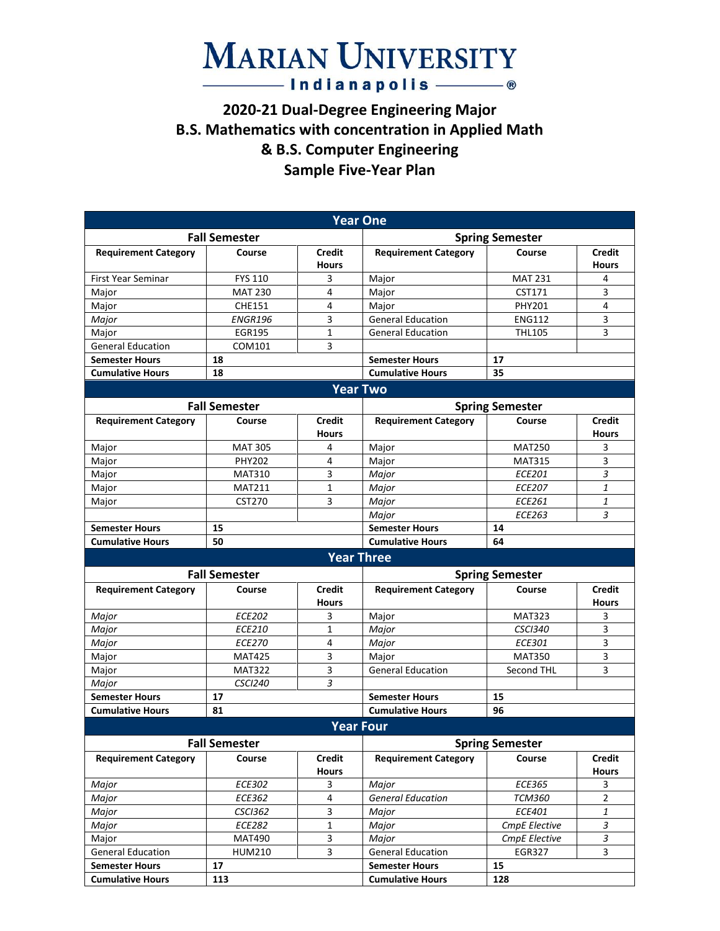### **MARIAN UNIVERSITY**  $-$ Indianapolis $\circ$

#### **2020-21 Dual-Degree Engineering Major B.S. Mathematics with concentration in Applied Math & B.S. Computer Engineering Sample Five-Year Plan**

| <b>Year One</b>                                  |                      |                               |                                                  |                        |                               |  |  |  |  |
|--------------------------------------------------|----------------------|-------------------------------|--------------------------------------------------|------------------------|-------------------------------|--|--|--|--|
|                                                  | <b>Fall Semester</b> |                               | <b>Spring Semester</b>                           |                        |                               |  |  |  |  |
| <b>Requirement Category</b>                      | Course               | <b>Credit</b><br><b>Hours</b> | <b>Requirement Category</b>                      | Course                 | <b>Credit</b><br><b>Hours</b> |  |  |  |  |
| <b>First Year Seminar</b>                        | <b>FYS 110</b>       | 3                             | Major                                            | <b>MAT 231</b>         | 4                             |  |  |  |  |
| Major                                            | <b>MAT 230</b>       | 4                             | Major                                            | CST171                 | 3                             |  |  |  |  |
| Major                                            | <b>CHE151</b>        | 4                             | Major                                            | <b>PHY201</b>          | 4                             |  |  |  |  |
| Major                                            | <b>ENGR196</b>       | 3                             | <b>General Education</b>                         | <b>ENG112</b>          | 3                             |  |  |  |  |
| Major                                            | <b>EGR195</b>        | $\mathbf{1}$                  | <b>General Education</b>                         | <b>THL105</b>          | 3                             |  |  |  |  |
| <b>General Education</b>                         | COM101               | 3                             |                                                  |                        |                               |  |  |  |  |
| <b>Semester Hours</b>                            | 18                   |                               | <b>Semester Hours</b>                            | 17                     |                               |  |  |  |  |
| <b>Cumulative Hours</b>                          | 18                   |                               | <b>Cumulative Hours</b>                          | 35                     |                               |  |  |  |  |
|                                                  |                      |                               | <b>Year Two</b>                                  |                        |                               |  |  |  |  |
|                                                  | <b>Fall Semester</b> |                               |                                                  | <b>Spring Semester</b> |                               |  |  |  |  |
| <b>Requirement Category</b>                      | Course               | <b>Credit</b>                 | <b>Requirement Category</b>                      | Course                 | <b>Credit</b>                 |  |  |  |  |
|                                                  |                      | <b>Hours</b>                  |                                                  |                        | <b>Hours</b>                  |  |  |  |  |
| Major                                            | <b>MAT 305</b>       | 4                             | Major                                            | <b>MAT250</b>          | 3                             |  |  |  |  |
| Major                                            | <b>PHY202</b>        | 4                             | Major                                            | <b>MAT315</b>          | 3                             |  |  |  |  |
| Major                                            | <b>MAT310</b>        | 3                             | Major                                            | <b>ECE201</b>          | 3                             |  |  |  |  |
| Major                                            | <b>MAT211</b>        | $\mathbf{1}$                  | Major                                            | <b>ECE207</b>          | 1                             |  |  |  |  |
| Major                                            | <b>CST270</b>        | 3                             | Major                                            | <b>ECE261</b>          | 1                             |  |  |  |  |
|                                                  |                      |                               | Major                                            | <b>ECE263</b>          | 3                             |  |  |  |  |
| <b>Semester Hours</b>                            | 15                   |                               | <b>Semester Hours</b>                            | 14                     |                               |  |  |  |  |
| <b>Cumulative Hours</b>                          | 50                   |                               | <b>Cumulative Hours</b>                          | 64                     |                               |  |  |  |  |
|                                                  |                      |                               | <b>Year Three</b>                                |                        |                               |  |  |  |  |
|                                                  | <b>Fall Semester</b> |                               | <b>Spring Semester</b>                           |                        |                               |  |  |  |  |
| <b>Requirement Category</b>                      | Course               | <b>Credit</b>                 | <b>Requirement Category</b>                      | Course                 | <b>Credit</b>                 |  |  |  |  |
|                                                  |                      | <b>Hours</b>                  |                                                  |                        | <b>Hours</b>                  |  |  |  |  |
| Major                                            | <b>ECE202</b>        | 3                             | Major                                            | <b>MAT323</b>          | 3                             |  |  |  |  |
| Major                                            | <b>ECE210</b>        | $\mathbf{1}$                  | Major                                            | <b>CSCI340</b>         | 3                             |  |  |  |  |
| Major                                            | <b>ECE270</b>        | 4                             | Major                                            | ECE301                 | 3                             |  |  |  |  |
| Major                                            | <b>MAT425</b>        | 3                             | Major                                            | <b>MAT350</b>          | 3                             |  |  |  |  |
| Major                                            | <b>MAT322</b>        | 3                             | <b>General Education</b>                         | <b>Second THL</b>      | 3                             |  |  |  |  |
| Major                                            | <b>CSCI240</b>       | 3                             |                                                  |                        |                               |  |  |  |  |
| <b>Semester Hours</b>                            | 17                   |                               | <b>Semester Hours</b>                            | 15                     |                               |  |  |  |  |
| <b>Cumulative Hours</b>                          | 81                   |                               | <b>Cumulative Hours</b>                          | 96                     |                               |  |  |  |  |
|                                                  |                      |                               | <b>Year Four</b>                                 |                        |                               |  |  |  |  |
| <b>Fall Semester</b>                             |                      |                               | <b>Spring Semester</b>                           |                        |                               |  |  |  |  |
| <b>Requirement Category</b>                      | Course               | <b>Credit</b>                 | <b>Requirement Category</b>                      | Course                 | <b>Credit</b>                 |  |  |  |  |
|                                                  |                      | <b>Hours</b>                  |                                                  |                        | <b>Hours</b>                  |  |  |  |  |
| Major                                            | ECE302               | 3                             | Major                                            | ECE365                 | 3                             |  |  |  |  |
| Major                                            | ECE362               | $\overline{4}$                | <b>General Education</b>                         | <b>TCM360</b>          | $\overline{2}$                |  |  |  |  |
| Major                                            | <b>CSCI362</b>       | 3                             | Major                                            | ECE401                 | $\mathbf{1}$                  |  |  |  |  |
| Major                                            | ECE282               | $\mathbf 1$                   | Major                                            | <b>CmpE Elective</b>   | 3                             |  |  |  |  |
| Major                                            | <b>MAT490</b>        | 3                             | Major                                            | <b>CmpE Elective</b>   | 3                             |  |  |  |  |
| <b>General Education</b>                         | <b>HUM210</b>        | 3                             | <b>General Education</b>                         | EGR327                 | 3                             |  |  |  |  |
|                                                  |                      |                               |                                                  |                        |                               |  |  |  |  |
| <b>Semester Hours</b><br><b>Cumulative Hours</b> | 17<br>113            |                               | <b>Semester Hours</b><br><b>Cumulative Hours</b> | 15<br>128              |                               |  |  |  |  |